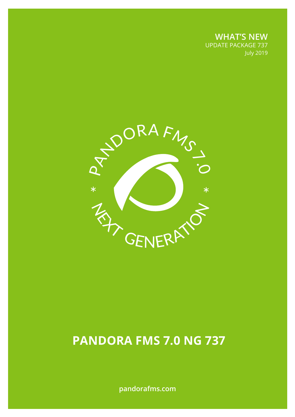**WHAT'S NEW** UPDATE PACKAGE 737 July 2019



# **PANDORA FMS 7.0 NG 737**

**pandorafms.com**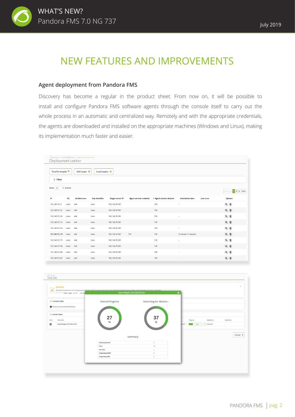

# NEW FEATURES AND IMPROVEMENTS

#### **Agent deployment from Pandora FMS**

Discovery has become a regular in the product sheet. From now on, it will be possible to install and configure Pandora FMS software agents through the console itself to carry out the whole process in an automatic and centralized way. Remotely and with the appropriate credentials, the agents are downloaded and installed on the appropriate machines (Windows and Linux), making its implementation much faster and easier.

| Deployment center                                                 |                                                                               | Discovery / Host & Devices / Agent deployment |                       |                         |                                |                         |                          |                   |                    |  |  |
|-------------------------------------------------------------------|-------------------------------------------------------------------------------|-----------------------------------------------|-----------------------|-------------------------|--------------------------------|-------------------------|--------------------------|-------------------|--------------------|--|--|
|                                                                   | Scan for targets<br>Load targets $\clubsuit$<br>Add target O<br>$\sum$ Filter |                                               |                       |                         |                                |                         |                          |                   |                    |  |  |
| Show 20<br>$\overline{\mathbf{v}}$ entries<br>Previous 1 2 3 Next |                                                                               |                                               |                       |                         |                                |                         |                          |                   |                    |  |  |
| IP                                                                | <b>OS</b>                                                                     | Architecture                                  | <b>Key identifier</b> | <b>Target server IP</b> | <b>Agent version installed</b> | ▼ Agent version desired | <b>Installation date</b> | <b>Last error</b> | <b>Options</b>     |  |  |
| 192.168.70.15                                                     | Linux                                                                         | x64                                           | base                  | 192.168.70.183          |                                | 736                     | ٠                        |                   | Q 面                |  |  |
| 192.168.70.101                                                    | Linux                                                                         | x64                                           | base                  | 192.168.70.183          |                                | 736                     | ×                        |                   | @ 面                |  |  |
| 192.168.70.102                                                    | Linux                                                                         | x64                                           | base                  | 192.168.70.183          |                                | 736                     | ٠                        |                   | Q 面                |  |  |
| 192.168.70.116                                                    | Linux                                                                         | x64                                           | base                  | 192.168.70.183          |                                | 736                     | $\sim$                   |                   | Q 面                |  |  |
| 192.168.70.165                                                    | Linux                                                                         | x64                                           | base                  | 192.168.70.183          |                                | 736                     | ÷                        |                   | Q 面                |  |  |
| 192.168.70.174 Linux                                              |                                                                               | x64                                           | base                  | 192.168.70.183          | 736                            | 736                     | 8 minutes 15 seconds     |                   | Q 面                |  |  |
| 192.168.70.175                                                    | Linux                                                                         | x64                                           | base                  | 192.168.70.183          |                                | 736                     | $\sim$                   |                   | $Q$ $\overline{w}$ |  |  |
| 192.168.70.195                                                    | Linux                                                                         | x64                                           | base                  | 192.168.70.183          |                                | 736                     | ×                        |                   | Q 面                |  |  |
| 192.168.70.206                                                    | Linux                                                                         | x64                                           | base                  | 192.168.70.183          |                                | 736                     | ٠                        |                   | Q 面                |  |  |
| 192.168.70.207                                                    | Linux                                                                         | x64                                           | base                  | 192.168.70.183          |                                | 736                     |                          |                   | Q 面                |  |  |

| <b>O</b><br>* * * * * <user> wget -q -0 - --no-che</user> | DiscoveryConsoleTasks is not running properly. Discovery relies on a proper setup of cron, the time-based scheduling service. Please, add the following line to your crontab file: | SearchTargets-192.168.70.0/24 | $\pmb{\times}$            |            |
|-----------------------------------------------------------|------------------------------------------------------------------------------------------------------------------------------------------------------------------------------------|-------------------------------|---------------------------|------------|
| V Console Tasks                                           | <b>Overall Progress</b>                                                                                                                                                            | Searching for devices         |                           |            |
| There are no console task defined yet.                    |                                                                                                                                                                                    |                               |                           |            |
| V Server Tasks                                            |                                                                                                                                                                                    |                               |                           |            |
| Force<br>Task name                                        | $27 \space\phantom{0}8$                                                                                                                                                            | 37                            | Progress<br>Updated at    | Operations |
| SearchTargets-192.168.70.0/24                             |                                                                                                                                                                                    | $\frac{9}{6}$                 | 4 seconds<br>24%<br>wment | $\sim$     |
|                                                           |                                                                                                                                                                                    |                               |                           |            |
|                                                           |                                                                                                                                                                                    | Summary                       |                           | Go back X  |
|                                                           | <b>Hosts discovered</b>                                                                                                                                                            | $\circ$                       |                           |            |
|                                                           | Alive                                                                                                                                                                              | 65                            |                           |            |
|                                                           | Not alive                                                                                                                                                                          | $\circ$                       |                           |            |
|                                                           | <b>Responding SNMP</b>                                                                                                                                                             | $\circ$                       |                           |            |
|                                                           | <b>Responding WMI</b>                                                                                                                                                              | $\circ$                       |                           |            |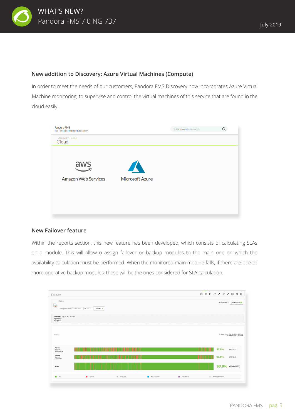

#### **New addition to Discovery: Azure Virtual Machines (Compute)**

In order to meet the needs of our customers, Pandora FMS Discovery now incorporates Azure Virtual Machine monitoring, to supervise and control the virtual machines of this service that are found in the cloud easily.



#### **New Failover feature**

Within the reports section, this new feature has been developed, which consists of calculating SLAs on a module. This will allow o assign failover or backup modules to the main one on which the availability calculation must be performed. When the monitored main module falls, if there are one or more operative backup modules, these will be the ones considered for SLA calculation.

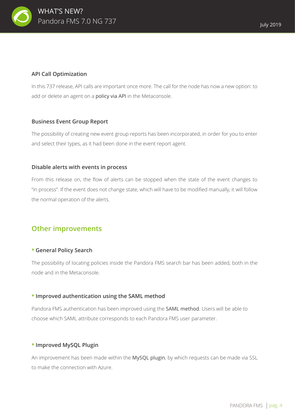

#### **API Call Optimization**

In this 737 release, API calls are important once more. The call for the node has now a new option: to add or delete an agent on a policy via API in the Metaconsole.

#### **Business Event Group Report**

The possibility of creating new event group reports has been incorporated, in order for you to enter and select their types, as it had been done in the event report agent.

#### **Disable alerts with events in process**

From this release on, the flow of alerts can be stopped when the state of the event changes to "in process". If the event does not change state, which will have to be modified manually, it will follow the normal operation of the alerts.

### **Other improvements**

#### **\* General Policy Search**

The possibility of locating policies inside the Pandora FMS search bar has been added, both in the node and in the Metaconsole.

#### **\* Improved authentication using the SAML method**

Pandora FMS authentication has been improved using the SAML method. Users will be able to choose which SAML attribute corresponds to each Pandora FMS user parameter.

#### **\* Improved MySQL Plugin**

An improvement has been made within the MySQL plugin, by which requests can be made via SSL to make the connection with Azure.